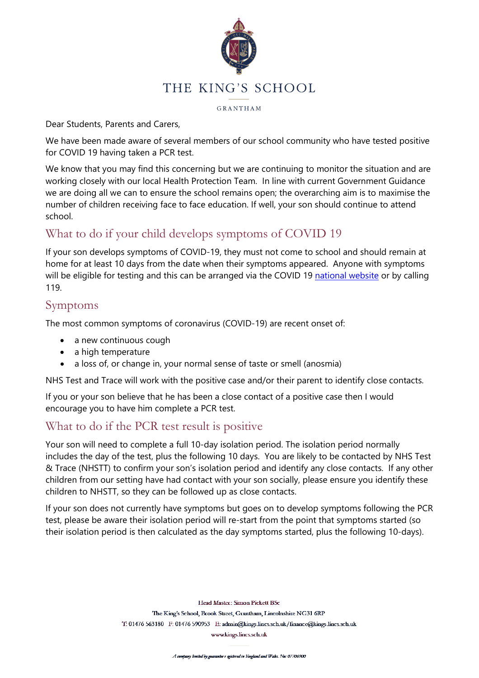

GRANTHAM

Dear Students, Parents and Carers,

We have been made aware of several members of our school community who have tested positive for COVID 19 having taken a PCR test.

We know that you may find this concerning but we are continuing to monitor the situation and are working closely with our local Health Protection Team. In line with current Government Guidance we are doing all we can to ensure the school remains open; the overarching aim is to maximise the number of children receiving face to face education. If well, your son should continue to attend school.

# What to do if your child develops symptoms of COVID 19

If your son develops symptoms of COVID-19, they must not come to school and should remain at home for at least 10 days from the date when their symptoms appeared. Anyone with symptoms will be eligible for testing and this can be arranged via the COVID 19 [national website](https://www.gov.uk/get-coronavirus-test) or by calling 119.

#### Symptoms

The most common symptoms of coronavirus (COVID-19) are recent onset of:

- a new continuous cough
- a high temperature
- a loss of, or change in, your normal sense of taste or smell (anosmia)

NHS Test and Trace will work with the positive case and/or their parent to identify close contacts.

If you or your son believe that he has been a close contact of a positive case then I would encourage you to have him complete a PCR test.

## What to do if the PCR test result is positive

Your son will need to complete a full 10-day isolation period. The isolation period normally includes the day of the test, plus the following 10 days. You are likely to be contacted by NHS Test & Trace (NHSTT) to confirm your son's isolation period and identify any close contacts. If any other children from our setting have had contact with your son socially, please ensure you identify these children to NHSTT, so they can be followed up as close contacts.

If your son does not currently have symptoms but goes on to develop symptoms following the PCR test, please be aware their isolation period will re-start from the point that symptoms started (so their isolation period is then calculated as the day symptoms started, plus the following 10-days).

> Head Master: Simon Pickett BSc The King's School, Brook Street, Grantham, Lincolnshire NG31 6RP T: 01476 563180 F: 01476 590953 E: admin@kings.lincs.sch.uk/finance@kings.lincs.sch.uk

www.kings.lincs.sch.uk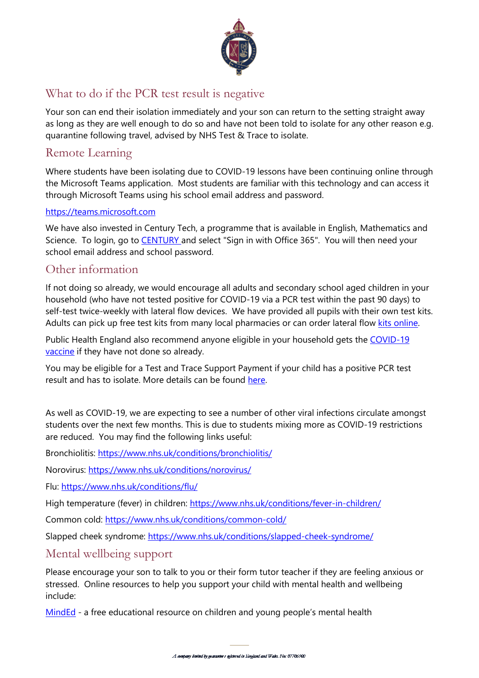

# What to do if the PCR test result is negative

Your son can end their isolation immediately and your son can return to the setting straight away as long as they are well enough to do so and have not been told to isolate for any other reason e.g. quarantine following travel, advised by NHS Test & Trace to isolate.

## Remote Learning

Where students have been isolating due to COVID-19 lessons have been continuing online through the Microsoft Teams application. Most students are familiar with this technology and can access it through Microsoft Teams using his school email address and password.

#### [https://teams.microsoft.com](https://teams.microsoft.com/)

We have also invested in Century Tech, a programme that is available in English, Mathematics and Science. To login, go to **[CENTURY](https://app.century.tech/login/?)** and select "Sign in with Office 365". You will then need your school email address and school password.

### Other information

If not doing so already, we would encourage all adults and secondary school aged children in your household (who have not tested positive for COVID-19 via a PCR test within the past 90 days) to self-test twice-weekly with lateral flow devices. We have provided all pupils with their own test kits. Adults can pick up free test kits from many local pharmacies or can order lateral flow [kits online.](https://www.gov.uk/order-coronavirus-rapid-lateral-flow-tests)

Public Health England also recommend anyone eligible in your household gets the COVID-19 [vaccine](https://www.nhs.uk/conditions/coronavirus-covid-19/coronavirus-vaccination/coronavirus-vaccine/) if they have not done so already.

You may be eligible for a Test and Trace Support Payment if your child has a positive PCR test result and has to isolate. More details can be found [here.](https://www.gov.uk/test-and-trace-support-payment)

As well as COVID-19, we are expecting to see a number of other viral infections circulate amongst students over the next few months. This is due to students mixing more as COVID-19 restrictions are reduced. You may find the following links useful:

Bronchiolitis:<https://www.nhs.uk/conditions/bronchiolitis/>

Norovirus:<https://www.nhs.uk/conditions/norovirus/>

Flu:<https://www.nhs.uk/conditions/flu/>

High temperature (fever) in children:<https://www.nhs.uk/conditions/fever-in-children/>

Common cold:<https://www.nhs.uk/conditions/common-cold/>

Slapped cheek syndrome:<https://www.nhs.uk/conditions/slapped-cheek-syndrome/>

Mental wellbeing support

Please encourage your son to talk to you or their form tutor teacher if they are feeling anxious or stressed. Online resources to help you support your child with mental health and wellbeing include:

[MindEd](https://www.minded.org.uk/) - a free educational resource on children and young people's mental health